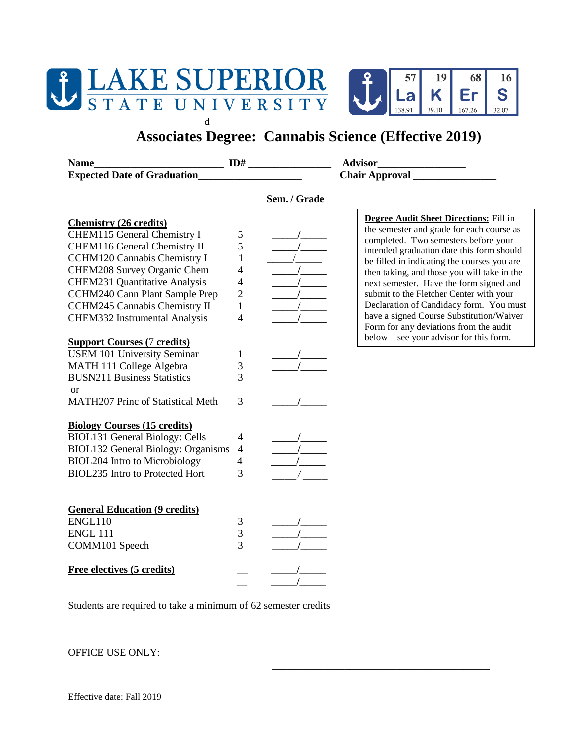

d



## **Associates Degree: Cannabis Science (Effective 2019)**

**Name\_\_\_\_\_\_\_\_\_\_\_\_\_\_\_\_\_\_\_\_\_\_\_\_\_ ID# \_\_\_\_\_\_\_\_\_\_\_\_\_\_\_\_ Advisor\_\_\_\_\_\_\_\_\_\_\_\_\_\_\_\_\_ Expected Date of Graduation\_\_\_\_\_\_\_\_\_\_\_\_\_\_\_\_\_\_\_\_ Chair Approval \_\_\_\_\_\_\_\_\_\_\_\_\_\_\_\_**

CHEM115 General Chemistry I 5

**\_\_\_\_\_\_\_\_\_\_\_\_\_\_\_\_\_\_\_\_\_\_\_\_\_\_\_\_\_\_\_\_\_\_\_\_\_\_\_\_\_\_**

**Chemistry (26 credits)**

## **Sem. / Grade**



**Degree Audit Sheet Directions:** Fill in the semester and grade for each course as completed. Two semesters before your intended graduation date this form should be filled in indicating the courses you are then taking, and those you will take in the next semester. Have the form signed and submit to the Fletcher Center with your Declaration of Candidacy form. You must have a signed Course Substitution/Waiver Form for any deviations from the audit below – see your advisor for this form.

| CHEM116 General Chemistry II              | 5              |  |
|-------------------------------------------|----------------|--|
| <b>CCHM120 Cannabis Chemistry I</b>       | 1              |  |
| CHEM208 Survey Organic Chem               | 4              |  |
| <b>CHEM231 Quantitative Analysis</b>      | 4              |  |
| CCHM240 Cann Plant Sample Prep            | $\overline{2}$ |  |
| CCHM245 Cannabis Chemistry II             | 1              |  |
| CHEM332 Instrumental Analysis             | 4              |  |
|                                           |                |  |
| <b>Support Courses (7 credits)</b>        |                |  |
| <b>USEM 101 University Seminar</b>        | 1              |  |
| MATH 111 College Algebra                  | 3              |  |
| <b>BUSN211 Business Statistics</b>        | 3              |  |
| <sub>or</sub>                             |                |  |
| <b>MATH207 Princ of Statistical Meth</b>  | 3              |  |
|                                           |                |  |
| <b>Biology Courses (15 credits)</b>       |                |  |
| <b>BIOL131 General Biology: Cells</b>     | 4              |  |
| <b>BIOL132 General Biology: Organisms</b> | 4              |  |
| <b>BIOL204 Intro to Microbiology</b>      | 4              |  |
| <b>BIOL235 Intro to Protected Hort</b>    | 3              |  |
|                                           |                |  |
|                                           |                |  |
| <b>General Education (9 credits)</b>      |                |  |
| ENGL110                                   | 3              |  |
| <b>ENGL 111</b>                           | 3              |  |
| COMM101 Speech                            | 3              |  |
| Free electives (5 credits)                |                |  |
|                                           |                |  |

Students are required to take a minimum of 62 semester credits

\_\_ **\_\_\_\_\_/\_\_\_\_\_**

OFFICE USE ONLY: